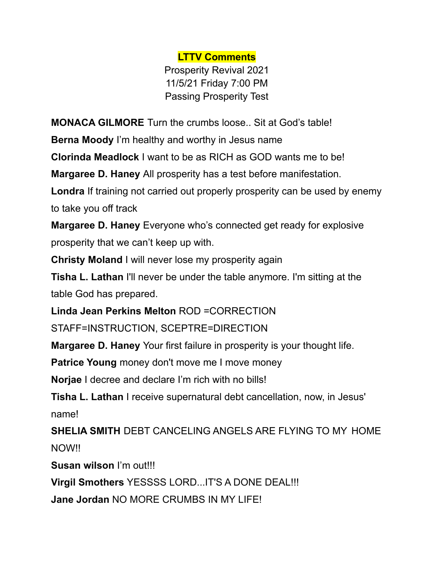**LTTV Comments**

Prosperity Revival 2021 11/5/21 Friday 7:00 PM Passing Prosperity Test

**MONACA GILMORE** Turn the crumbs loose.. Sit at God's table!

**Berna Moody** I'm healthy and worthy in Jesus name

**Clorinda Meadlock** I want to be as RICH as GOD wants me to be!

**Margaree D. Haney** All prosperity has a test before manifestation.

**Londra** If training not carried out properly prosperity can be used by enemy to take you off track

**Margaree D. Haney** Everyone who's connected get ready for explosive prosperity that we can't keep up with.

**Christy Moland** I will never lose my prosperity again

**Tisha L. Lathan** I'll never be under the table anymore. I'm sitting at the table God has prepared.

**Linda Jean Perkins Melton** ROD =CORRECTION

STAFF=INSTRUCTION, SCEPTRE=DIRECTION

**Margaree D. Haney** Your first failure in prosperity is your thought life.

**Patrice Young** money don't move me I move money

**Norjae** I decree and declare I'm rich with no bills!

**Tisha L. Lathan** I receive supernatural debt cancellation, now, in Jesus' name!

**SHELIA SMITH** DEBT CANCELING ANGELS ARE FLYING TO MY HOME NOW!!

**Susan wilson** I'm out!!!

**Virgil Smothers** YESSSS LORD...IT'S A DONE DEAL!!!

**Jane Jordan** NO MORE CRUMBS IN MY LIFE!